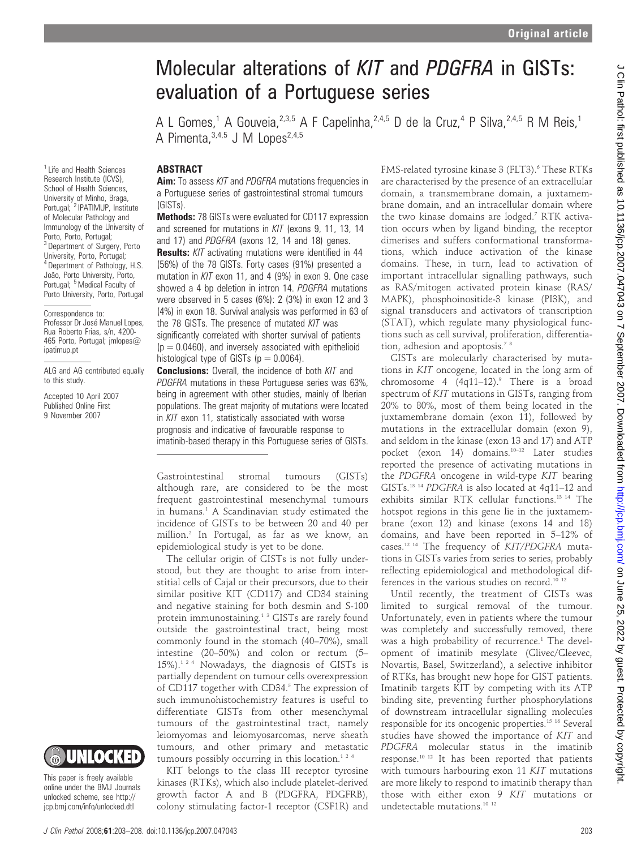# Molecular alterations of KIT and PDGFRA in GISTs: evaluation of a Portuguese series

A L Gomes,<sup>1</sup> A Gouveia,  $2.3,5$  A F Capelinha,  $2.4,5$  D de la Cruz, <sup>4</sup> P Silva,  $2.4,5$  R M Reis, <sup>1</sup> A Pimenta,  $3,4,5$  J M Lopes  $2,4,5$ 

#### ABSTRACT

Aim: To assess KIT and PDGFRA mutations frequencies in a Portuguese series of gastrointestinal stromal tumours (GISTs).

Methods: 78 GISTs were evaluated for CD117 expression and screened for mutations in KIT (exons 9, 11, 13, 14 and 17) and PDGFRA (exons 12, 14 and 18) genes.

Results: KIT activating mutations were identified in 44 (56%) of the 78 GISTs. Forty cases (91%) presented a mutation in KIT exon 11, and 4 (9%) in exon 9. One case showed a 4 bp deletion in intron 14. PDGFRA mutations were observed in 5 cases (6%): 2 (3%) in exon 12 and 3 (4%) in exon 18. Survival analysis was performed in 63 of the 78 GISTs. The presence of mutated KIT was significantly correlated with shorter survival of patients  $(p = 0.0460)$ , and inversely associated with epithelioid histological type of GISTs ( $p = 0.0064$ ).

**Conclusions:** Overall, the incidence of both KIT and PDGFRA mutations in these Portuguese series was 63%, being in agreement with other studies, mainly of Iberian populations. The great majority of mutations were located in KIT exon 11, statistically associated with worse prognosis and indicative of favourable response to imatinib-based therapy in this Portuguese series of GISTs.

Gastrointestinal stromal tumours (GISTs) although rare, are considered to be the most frequent gastrointestinal mesenchymal tumours in humans.<sup>1</sup> A Scandinavian study estimated the incidence of GISTs to be between 20 and 40 per million.2 In Portugal, as far as we know, an epidemiological study is yet to be done.

The cellular origin of GISTs is not fully understood, but they are thought to arise from interstitial cells of Cajal or their precursors, due to their similar positive KIT (CD117) and CD34 staining and negative staining for both desmin and S-100 protein immunostaining.<sup>1 3</sup> GISTs are rarely found outside the gastrointestinal tract, being most commonly found in the stomach (40–70%), small intestine (20–50%) and colon or rectum (5– 15%).124 Nowadays, the diagnosis of GISTs is partially dependent on tumour cells overexpression of CD117 together with CD34.<sup>5</sup> The expression of such immunohistochemistry features is useful to differentiate GISTs from other mesenchymal tumours of the gastrointestinal tract, namely leiomyomas and leiomyosarcomas, nerve sheath tumours, and other primary and metastatic tumours possibly occurring in this location.<sup>124</sup>

KIT belongs to the class III receptor tyrosine kinases (RTKs), which also include platelet-derived growth factor A and B (PDGFRA, PDGFRB), colony stimulating factor-1 receptor (CSF1R) and FMS-related tyrosine kinase 3 (FLT3).<sup>6</sup> These RTKs are characterised by the presence of an extracellular domain, a transmembrane domain, a juxtamembrane domain, and an intracellular domain where the two kinase domains are lodged.<sup>7</sup> RTK activation occurs when by ligand binding, the receptor dimerises and suffers conformational transformations, which induce activation of the kinase domains. These, in turn, lead to activation of important intracellular signalling pathways, such as RAS/mitogen activated protein kinase (RAS/ MAPK), phosphoinositide-3 kinase (PI3K), and signal transducers and activators of transcription (STAT), which regulate many physiological functions such as cell survival, proliferation, differentiation, adhesion and apoptosis.<sup>78</sup>

GISTs are molecularly characterised by mutations in KIT oncogene, located in the long arm of chromosome 4  $(4q11-12)$ .<sup>9</sup> There is a broad spectrum of KIT mutations in GISTs, ranging from 20% to 80%, most of them being located in the juxtamembrane domain (exon 11), followed by mutations in the extracellular domain (exon 9), and seldom in the kinase (exon 13 and 17) and ATP pocket (exon 14) domains.<sup>10-12</sup> Later studies reported the presence of activating mutations in the PDGFRA oncogene in wild-type KIT bearing GISTs.13 14 PDGFRA is also located at 4q11–12 and exhibits similar RTK cellular functions.13 14 The hotspot regions in this gene lie in the juxtamembrane (exon 12) and kinase (exons 14 and 18) domains, and have been reported in 5–12% of cases.12 14 The frequency of KIT/PDGFRA mutations in GISTs varies from series to series, probably reflecting epidemiological and methodological differences in the various studies on record.<sup>10 12</sup>

Until recently, the treatment of GISTs was limited to surgical removal of the tumour. Unfortunately, even in patients where the tumour was completely and successfully removed, there was a high probability of recurrence.<sup>1</sup> The development of imatinib mesylate (Glivec/Gleevec, Novartis, Basel, Switzerland), a selective inhibitor of RTKs, has brought new hope for GIST patients. Imatinib targets KIT by competing with its ATP binding site, preventing further phosphorylations of downstream intracellular signalling molecules responsible for its oncogenic properties.15 16 Several studies have showed the importance of KIT and PDGFRA molecular status in the imatinib response.10 12 It has been reported that patients with tumours harbouring exon 11 KIT mutations are more likely to respond to imatinib therapy than those with either exon 9 KIT mutations or undetectable mutations.10 12

<sup>1</sup> Life and Health Sciences Research Institute (ICVS), School of Health Sciences, University of Minho, Braga, Portugal; <sup>2</sup> IPATIMUP, Institute of Molecular Pathology and Immunology of the University of Porto, Porto, Portugal; <sup>3</sup> Department of Surgery, Porto University, Porto, Portugal; <sup>4</sup> Department of Pathology, H.S. João, Porto University, Porto, Portugal; <sup>5</sup> Medical Faculty of Porto University, Porto, Portugal

ALG and AG contributed equally to this study.

Accepted 10 April 2007 Published Online First 9 November 2007

unlocked scheme, see http:// jcp.bmj.com/info/unlocked.dtl

Correspondence to: Professor Dr José Manuel Lopes. Rua Roberto Frias, s/n, 4200- 465 Porto, Portugal; jmlopes@ ipatimup.pt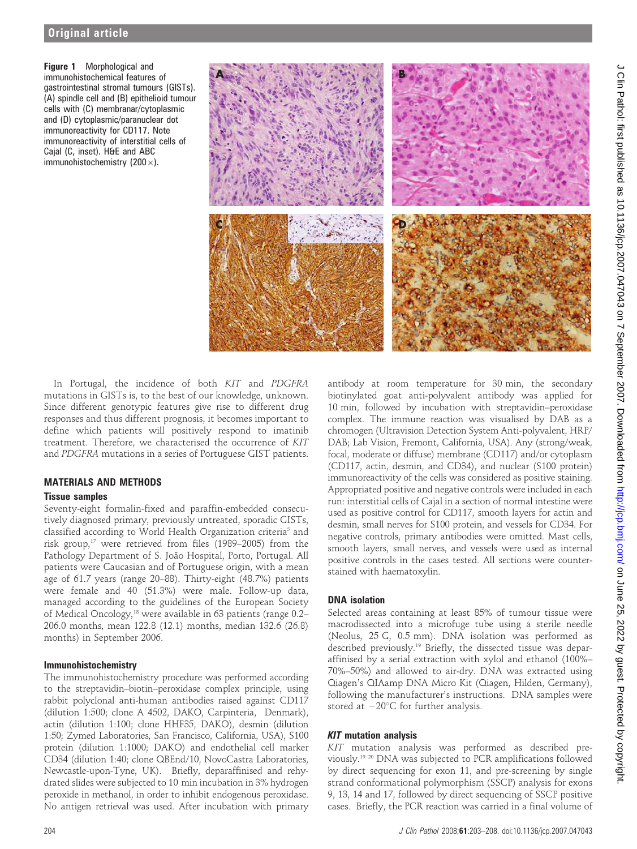Figure 1 Morphological and immunohistochemical features of gastrointestinal stromal tumours (GISTs). (A) spindle cell and (B) epithelioid tumour cells with (C) membranar/cytoplasmic and (D) cytoplasmic/paranuclear dot immunoreactivity for CD117. Note immunoreactivity of interstitial cells of Cajal (C, inset). H&E and ABC immunohistochemistry (200 $\times$ ).



In Portugal, the incidence of both KIT and PDGFRA mutations in GISTs is, to the best of our knowledge, unknown. Since different genotypic features give rise to different drug responses and thus different prognosis, it becomes important to define which patients will positively respond to imatinib treatment. Therefore, we characterised the occurrence of KIT and PDGFRA mutations in a series of Portuguese GIST patients.

### MATERIALS AND METHODS

#### Tissue samples

Seventy-eight formalin-fixed and paraffin-embedded consecutively diagnosed primary, previously untreated, sporadic GISTs, classified according to World Health Organization criteria<sup>5</sup> and risk group,<sup>17</sup> were retrieved from files (1989–2005) from the Pathology Department of S. João Hospital, Porto, Portugal. All patients were Caucasian and of Portuguese origin, with a mean age of 61.7 years (range 20–88). Thirty-eight (48.7%) patients were female and 40 (51.3%) were male. Follow-up data, managed according to the guidelines of the European Society of Medical Oncology,<sup>18</sup> were available in 63 patients (range 0.2-206.0 months, mean 122.8 (12.1) months, median 132.6 (26.8) months) in September 2006.

### Immunohistochemistry

The immunohistochemistry procedure was performed according to the streptavidin–biotin–peroxidase complex principle, using rabbit polyclonal anti-human antibodies raised against CD117 (dilution 1:500; clone A 4502, DAKO, Carpinteria, Denmark), actin (dilution 1:100; clone HHF35, DAKO), desmin (dilution 1:50; Zymed Laboratories, San Francisco, California, USA), S100 protein (dilution 1:1000; DAKO) and endothelial cell marker CD34 (dilution 1:40; clone QBEnd/10, NovoCastra Laboratories, Newcastle-upon-Tyne, UK). Briefly, deparaffinised and rehydrated slides were subjected to 10 min incubation in 3% hydrogen peroxide in methanol, in order to inhibit endogenous peroxidase. No antigen retrieval was used. After incubation with primary

antibody at room temperature for 30 min, the secondary biotinylated goat anti-polyvalent antibody was applied for 10 min, followed by incubation with streptavidin–peroxidase complex. The immune reaction was visualised by DAB as a chromogen (Ultravision Detection System Anti-polyvalent, HRP/ DAB; Lab Vision, Fremont, California, USA). Any (strong/weak, focal, moderate or diffuse) membrane (CD117) and/or cytoplasm (CD117, actin, desmin, and CD34), and nuclear (S100 protein) immunoreactivity of the cells was considered as positive staining. Appropriated positive and negative controls were included in each run: interstitial cells of Cajal in a section of normal intestine were used as positive control for CD117, smooth layers for actin and desmin, small nerves for S100 protein, and vessels for CD34. For negative controls, primary antibodies were omitted. Mast cells, smooth layers, small nerves, and vessels were used as internal positive controls in the cases tested. All sections were counterstained with haematoxylin.

### DNA isolation

Selected areas containing at least 85% of tumour tissue were macrodissected into a microfuge tube using a sterile needle (Neolus, 25 G, 0.5 mm). DNA isolation was performed as described previously.19 Briefly, the dissected tissue was deparaffinised by a serial extraction with xylol and ethanol (100%– 70%–50%) and allowed to air-dry. DNA was extracted using Qiagen's QIAamp DNA Micro Kit (Qiagen, Hilden, Germany), following the manufacturer's instructions. DNA samples were stored at  $-20^{\circ}$ C for further analysis.

### **KIT** mutation analysis

KIT mutation analysis was performed as described previously.19 20 DNA was subjected to PCR amplifications followed by direct sequencing for exon 11, and pre-screening by single strand conformational polymorphism (SSCP) analysis for exons 9, 13, 14 and 17, followed by direct sequencing of SSCP positive cases. Briefly, the PCR reaction was carried in a final volume of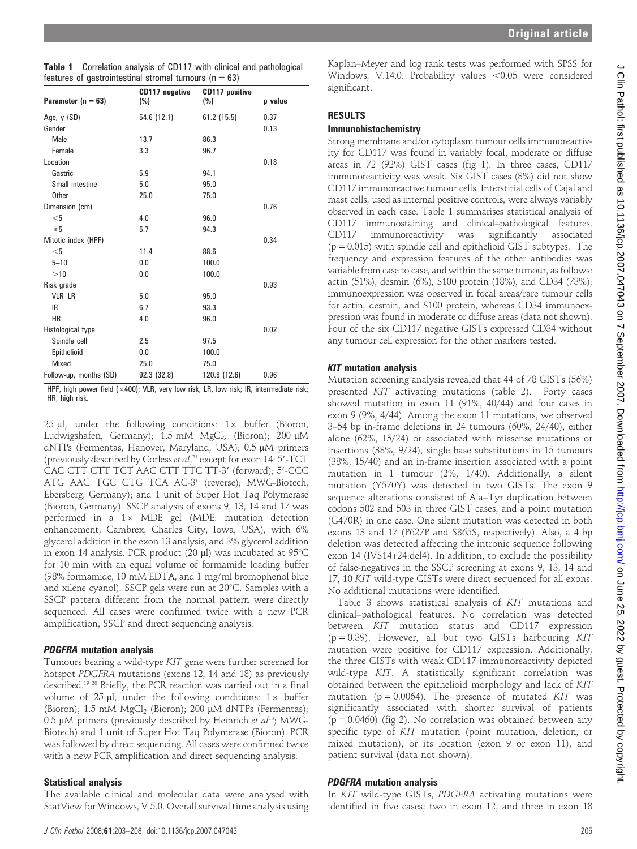| features of gastrointestinal stromal tumours ( $n = 63$ ) |                       |                              |         |
|-----------------------------------------------------------|-----------------------|------------------------------|---------|
| Parameter $(n = 63)$                                      | CD117 negative<br>(%) | <b>CD117 positive</b><br>(%) | p value |
| Age, $y$ (SD)                                             | 54.6 (12.1)           | 61.2 (15.5)                  | 0.37    |
| Gender                                                    |                       |                              | 0.13    |
| Male                                                      | 13.7                  | 86.3                         |         |
| Female                                                    | 3.3                   | 96.7                         |         |
| Location                                                  |                       |                              | 0.18    |
| Gastric                                                   | 5.9                   | 94.1                         |         |
| Small intestine                                           | 5.0                   | 95.0                         |         |
| <b>Other</b>                                              | 25.0                  | 75.0                         |         |
| Dimension (cm)                                            |                       |                              | 0.76    |
| $<$ 5                                                     | 4.0                   | 96.0                         |         |
| $\geqslant 5$                                             | 5.7                   | 94.3                         |         |
| Mitotic index (HPF)                                       |                       |                              | 0.34    |
| $<$ 5                                                     | 11.4                  | 88.6                         |         |
| $5 - 10$                                                  | 0.0                   | 100.0                        |         |
| >10                                                       | 0.0                   | 100.0                        |         |
| Risk grade                                                |                       |                              | 0.93    |
| VLR-LR                                                    | 5.0                   | 95.0                         |         |
| IR                                                        | 6.7                   | 93.3                         |         |
| <b>HR</b>                                                 | 4.0                   | 96.0                         |         |
| Histological type                                         |                       |                              | 0.02    |
| Spindle cell                                              | 2.5                   | 97.5                         |         |
| Epithelioid                                               | 0.0                   | 100.0                        |         |
| <b>Mixed</b>                                              | 25.0                  | 75.0                         |         |
| Follow-up, months (SD)                                    | 92.3 (32.8)           | 120.8 (12.6)                 | 0.96    |

HPF, high power field ( $\times$ 400); VLR, very low risk; LR, low risk; IR, intermediate risk; HR, high risk.

25  $\mu$ l, under the following conditions:  $1\times$  buffer (Bioron, Ludwigshafen, Germany);  $1.5 \text{ mM}$  MgCl<sub>2</sub> (Bioron);  $200 \mu \text{M}$ dNTPs (Fermentas, Hanover, Maryland, USA); 0.5 µM primers (previously described by Corless et al,<sup>21</sup> except for exon 14: 5'-TCT CAC CTT CTT TCT AAC CTT TTC TT-3' (forward); 5'-CCC ATG AAC TGC CTG TCA AC-3' (reverse); MWG-Biotech, Ebersberg, Germany); and 1 unit of Super Hot Taq Polymerase (Bioron, Germany). SSCP analysis of exons 9, 13, 14 and 17 was performed in a  $1\times$  MDE gel (MDE: mutation detection enhancement, Cambrex, Charles City, Iowa, USA), with 6% glycerol addition in the exon 13 analysis, and 3% glycerol addition in exon 14 analysis. PCR product (20  $\mu$ l) was incubated at 95°C for 10 min with an equal volume of formamide loading buffer (98% formamide, 10 mM EDTA, and 1 mg/ml bromophenol blue and xilene cyanol). SSCP gels were run at  $20^{\circ}$ C. Samples with a SSCP pattern different from the normal pattern were directly sequenced. All cases were confirmed twice with a new PCR amplification, SSCP and direct sequencing analysis.

### PDGFRA mutation analysis

Tumours bearing a wild-type KIT gene were further screened for hotspot PDGFRA mutations (exons 12, 14 and 18) as previously described.19 20 Briefly, the PCR reaction was carried out in a final volume of 25  $\mu$ l, under the following conditions: 1 $\times$  buffer (Bioron); 1.5 mM MgCl<sub>2</sub> (Bioron); 200 µM dNTPs (Fermentas); 0.5  $\mu$ M primers (previously described by Heinrich et al<sup>13</sup>; MWG-Biotech) and 1 unit of Super Hot Taq Polymerase (Bioron). PCR was followed by direct sequencing. All cases were confirmed twice with a new PCR amplification and direct sequencing analysis.

### Statistical analysis

The available clinical and molecular data were analysed with StatView for Windows, V.5.0. Overall survival time analysis using

Kaplan–Meyer and log rank tests was performed with SPSS for Windows, V.14.0. Probability values  $< 0.05$  were considered significant.

### **RESULTS**

### Immunohistochemistry

Strong membrane and/or cytoplasm tumour cells immunoreactivity for CD117 was found in variably focal, moderate or diffuse areas in 72 (92%) GIST cases (fig 1). In three cases, CD117 immunoreactivity was weak. Six GIST cases (8%) did not show CD117 immunoreactive tumour cells. Interstitial cells of Cajal and mast cells, used as internal positive controls, were always variably observed in each case. Table 1 summarises statistical analysis of CD117 immunostaining and clinical–pathological features. CD117 immunoreactivity was significantly associated (p = 0.015) with spindle cell and epithelioid GIST subtypes. The frequency and expression features of the other antibodies was variable from case to case, and within the same tumour, as follows: actin (51%), desmin (6%), S100 protein (18%), and CD34 (73%); immunoexpression was observed in focal areas/rare tumour cells for actin, desmin, and S100 protein, whereas CD34 immunoexpression was found in moderate or diffuse areas (data not shown). Four of the six CD117 negative GISTs expressed CD34 without any tumour cell expression for the other markers tested.

### KIT mutation analysis

Mutation screening analysis revealed that 44 of 78 GISTs (56%) presented KIT activating mutations (table 2). Forty cases showed mutation in exon 11 (91%, 40/44) and four cases in exon 9 (9%, 4/44). Among the exon 11 mutations, we observed 3–54 bp in-frame deletions in 24 tumours (60%, 24/40), either alone (62%, 15/24) or associated with missense mutations or insertions (38%, 9/24), single base substitutions in 15 tumours (38%, 15/40) and an in-frame insertion associated with a point mutation in 1 tumour (2%, 1/40). Additionally, a silent mutation (Y570Y) was detected in two GISTs. The exon 9 sequence alterations consisted of Ala–Tyr duplication between codons 502 and 503 in three GIST cases, and a point mutation (G470R) in one case. One silent mutation was detected in both exons 13 and 17 (P627P and S865S, respectively). Also, a 4 bp deletion was detected affecting the intronic sequence following exon 14 (IVS14+24:del4). In addition, to exclude the possibility of false-negatives in the SSCP screening at exons 9, 13, 14 and 17, 10 KIT wild-type GISTs were direct sequenced for all exons. No additional mutations were identified.

Table 3 shows statistical analysis of KIT mutations and clinical–pathological features. No correlation was detected between KIT mutation status and CD117 expression  $(p = 0.39)$ . However, all but two GISTs harbouring KIT mutation were positive for CD117 expression. Additionally, the three GISTs with weak CD117 immunoreactivity depicted wild-type KIT. A statistically significant correlation was obtained between the epithelioid morphology and lack of KIT mutation ( $p = 0.0064$ ). The presence of mutated KIT was significantly associated with shorter survival of patients  $(p = 0.0460)$  (fig 2). No correlation was obtained between any specific type of KIT mutation (point mutation, deletion, or mixed mutation), or its location (exon 9 or exon 11), and patient survival (data not shown).

## PDGFRA mutation analysis

In KIT wild-type GISTs, PDGFRA activating mutations were identified in five cases; two in exon 12, and three in exon 18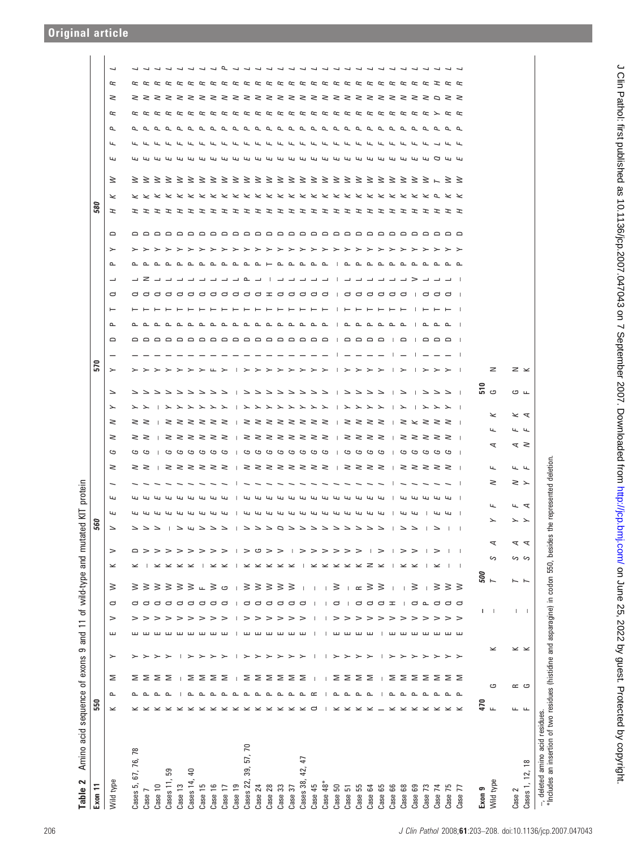| acid<br>Amino<br>$\sim$<br>Table                                                                                                                             | sequence                          | ৳                                                                                                                                                                                                                                                                                                                                                                                                                                          | ၜ<br>exons        | and          | $\overline{1}$ |                   | of wild-type     | and                                 | mutate          | ਦ                                    | ÎЙ                      | protein              |                                  |               |                                     |        |                                    |                   |                |                                   |                                     |                   |                          |                                |        |     |       |                           |                     |                          |           |        |                                       |  |
|--------------------------------------------------------------------------------------------------------------------------------------------------------------|-----------------------------------|--------------------------------------------------------------------------------------------------------------------------------------------------------------------------------------------------------------------------------------------------------------------------------------------------------------------------------------------------------------------------------------------------------------------------------------------|-------------------|--------------|----------------|-------------------|------------------|-------------------------------------|-----------------|--------------------------------------|-------------------------|----------------------|----------------------------------|---------------|-------------------------------------|--------|------------------------------------|-------------------|----------------|-----------------------------------|-------------------------------------|-------------------|--------------------------|--------------------------------|--------|-----|-------|---------------------------|---------------------|--------------------------|-----------|--------|---------------------------------------|--|
| Exon 11                                                                                                                                                      | 550                               |                                                                                                                                                                                                                                                                                                                                                                                                                                            |                   |              |                |                   |                  |                                     |                 | <b>Dg</b>                            |                         |                      |                                  |               |                                     |        |                                    | 570               |                |                                   |                                     |                   |                          |                                |        | 580 |       |                           |                     |                          |           |        |                                       |  |
| Wild type                                                                                                                                                    | $\!\! \simeq$                     | Σ<br>௨                                                                                                                                                                                                                                                                                                                                                                                                                                     | $\succ$           | ш            | $\geq$         | $\mathbf{\Omega}$ | 3                | $\!\boldsymbol{\times}$             | $\geq$          |                                      | $\overline{\mathbf{L}}$ | Щ                    | $\geq$                           | G             | $\geq$                              | $\geq$ | $\geq$<br>$\overline{\phantom{0}}$ | ≻                 | $\Box$         | $\sim$                            | $\overline{ }$                      | $\mathbf{\Omega}$ | $\overline{\phantom{0}}$ | $\succ$<br>$\mathbf{r}$        | $\Box$ | F   | $\lt$ | ₹                         | $\overline{a}$<br>Щ | $\overline{\phantom{a}}$ | $\approx$ | $\geq$ | $\overline{\phantom{0}}$<br>$\approx$ |  |
| Cases 5, 67, 76, 78                                                                                                                                          |                                   | ΣΣ                                                                                                                                                                                                                                                                                                                                                                                                                                         |                   |              |                |                   | 3                |                                     | $\supset$       | ファン・ファッシュ ファントロール ストレース ストレー ノン・ランジン |                         |                      |                                  |               |                                     |        | $\geq$ $\geq$                      |                   |                |                                   |                                     |                   |                          |                                |        |     |       | ろろろろろろろろろろろろろろろろろろろろろろろろく |                     |                          |           |        |                                       |  |
| Case 10<br>Case 7                                                                                                                                            |                                   |                                                                                                                                                                                                                                                                                                                                                                                                                                            |                   | ш            | >              |                   | ≥<br>3           |                                     | >               |                                      |                         |                      |                                  |               |                                     |        |                                    |                   |                |                                   |                                     |                   |                          |                                |        |     |       |                           |                     |                          |           |        |                                       |  |
| 59<br>Cases 11,                                                                                                                                              |                                   | Σ<br>Σ<br>$\sim$ $\sim$                                                                                                                                                                                                                                                                                                                                                                                                                    |                   | ш            | >              |                   | ξ                | $\times$ $\times$                   |                 |                                      |                         |                      |                                  |               |                                     |        |                                    |                   |                |                                   |                                     |                   |                          |                                |        |     |       |                           |                     |                          |           |        |                                       |  |
| Case 13                                                                                                                                                      |                                   |                                                                                                                                                                                                                                                                                                                                                                                                                                            |                   | ш            | >              | a a a             | ≥                |                                     | >               |                                      |                         |                      | ろろろろろ   ろろろろ   ろろろろろろろろろろろろ   ろろ |               | ろろろろろ   ろろろろ   ろろろろろろろろ   ろろろろ   ろろ |        | フフフフフフフフィス ノフフフフファー フフフー フレフフー     | > > > > > > > + + |                | a a a a a a a a a a a a a a a a a | ------------------                  |                   |                          | <b>メメメメメメメメメメメメメメメメメメメメメメメ</b> |        |     |       |                           |                     |                          |           |        |                                       |  |
| $\overline{4}$<br>Cases 14,                                                                                                                                  | $\times$ $\times$                 | Σ<br>௨                                                                                                                                                                                                                                                                                                                                                                                                                                     |                   | ш            | >              | $\circ$           | ≳                | $\times$ $\times$                   | >               |                                      |                         |                      |                                  |               |                                     |        |                                    |                   |                |                                   |                                     |                   |                          |                                |        |     |       |                           |                     |                          |           |        |                                       |  |
| Case 15                                                                                                                                                      | $\times$ $\times$                 | Σ                                                                                                                                                                                                                                                                                                                                                                                                                                          |                   | ш            | >              |                   | ա ≶              | $\overline{1}$                      | >               |                                      |                         |                      |                                  |               |                                     |        |                                    |                   |                |                                   |                                     |                   |                          |                                |        |     |       |                           |                     |                          |           |        |                                       |  |
| Case 16                                                                                                                                                      |                                   | ≅                                                                                                                                                                                                                                                                                                                                                                                                                                          |                   | ш            | >              | a a a             |                  | $\times$ $\times$                   | >               |                                      |                         |                      |                                  |               |                                     |        |                                    |                   |                |                                   |                                     |                   |                          |                                |        |     |       |                           |                     |                          |           |        |                                       |  |
| Case 17                                                                                                                                                      | $\times$ $\times$                 | ≅<br>$\begin{array}{cccccccccccccc} \mathbb{L} & \mathbb{L} & \mathbb{L} & \mathbb{L} & \mathbb{L} & \mathbb{L} & \mathbb{L} & \mathbb{L} & \mathbb{L} & \mathbb{L} & \mathbb{L} & \mathbb{L} & \mathbb{L} & \mathbb{L} & \mathbb{L} & \mathbb{L} & \mathbb{L} & \mathbb{L} & \mathbb{L} & \mathbb{L} & \mathbb{L} & \mathbb{L} & \mathbb{L} & \mathbb{L} & \mathbb{L} & \mathbb{L} & \mathbb{L} & \mathbb{L} & \mathbb{L} & \mathbb{L} &$ | >                 | ய            | >              |                   | C                |                                     | $\geq$          |                                      |                         |                      |                                  |               |                                     |        |                                    |                   |                |                                   |                                     |                   |                          |                                |        |     |       |                           |                     |                          |           |        | $ -$                                  |  |
| Case 19                                                                                                                                                      |                                   | $\blacksquare$                                                                                                                                                                                                                                                                                                                                                                                                                             |                   | $\mathbf{I}$ | $\mathbf{I}$   | $\blacksquare$    | $\overline{1}$   | $\overline{1}$                      |                 |                                      |                         |                      |                                  |               |                                     |        |                                    |                   |                |                                   |                                     |                   |                          |                                |        |     |       |                           |                     |                          |           |        |                                       |  |
| $\approx$<br>57,<br>39,<br>Cases 22,                                                                                                                         |                                   | ΣΣ                                                                                                                                                                                                                                                                                                                                                                                                                                         |                   | யய           | >              |                   | ≳                |                                     |                 |                                      |                         |                      |                                  |               |                                     |        |                                    |                   |                |                                   |                                     |                   |                          |                                |        |     |       |                           |                     |                          |           |        |                                       |  |
| Case 24                                                                                                                                                      | $\times$ $\times$ $\times$        | $\begin{array}{cccccccccccccc} \mathbb{L} & \mathbb{L} & \mathbb{L} & \mathbb{L} & \mathbb{L} & \mathbb{L} & \mathbb{L} & \mathbb{L} & \mathbb{L} & \mathbb{L} & \mathbb{L} & \mathbb{L} & \mathbb{L} & \mathbb{L} & \mathbb{L} & \mathbb{L} & \mathbb{L} & \mathbb{L} & \mathbb{L} & \mathbb{L} & \mathbb{L} & \mathbb{L} & \mathbb{L} & \mathbb{L} & \mathbb{L} & \mathbb{L} & \mathbb{L} & \mathbb{L} & \mathbb{L} & \mathbb{L} &$      |                   |              | >              | dddddd            | ≥                | $\times$ $\times$ $\times$          | $>$ $\circ$ $>$ |                                      |                         |                      |                                  |               |                                     |        |                                    | > > > > > > > >   |                |                                   |                                     |                   |                          |                                |        |     |       |                           |                     |                          |           |        |                                       |  |
| Case 28                                                                                                                                                      |                                   | ≅                                                                                                                                                                                                                                                                                                                                                                                                                                          | ≻                 | ш            | >              |                   | ≥                |                                     |                 |                                      |                         |                      |                                  |               |                                     |        |                                    |                   |                |                                   |                                     |                   |                          |                                |        |     |       |                           |                     |                          |           |        |                                       |  |
| Case 33                                                                                                                                                      |                                   | ≅                                                                                                                                                                                                                                                                                                                                                                                                                                          | ≻                 | Е            | >              |                   | $\geq$           |                                     | $\geq$          |                                      |                         |                      |                                  |               |                                     |        |                                    |                   |                |                                   |                                     |                   |                          |                                |        |     |       |                           |                     |                          |           |        |                                       |  |
| Case 37                                                                                                                                                      |                                   | ΣΣ                                                                                                                                                                                                                                                                                                                                                                                                                                         | ≻                 | யய           | >              |                   | ≳                | $\!\! \simeq$                       | $\rightarrow$   |                                      |                         |                      |                                  |               |                                     |        |                                    |                   |                |                                   |                                     |                   |                          |                                |        |     |       |                           |                     |                          |           |        | $\overline{\phantom{0}}$              |  |
| $\overline{4}$<br>42,<br>Cases 38,                                                                                                                           | $\times$ $\times$ d               | $\sim$ $\sim$ $\approx$                                                                                                                                                                                                                                                                                                                                                                                                                    |                   |              | >              |                   | $\mathbf{I}$     |                                     |                 |                                      |                         |                      |                                  |               |                                     |        |                                    |                   |                |                                   |                                     |                   |                          |                                |        |     |       |                           |                     |                          |           |        |                                       |  |
| Case 45                                                                                                                                                      |                                   | $\blacksquare$                                                                                                                                                                                                                                                                                                                                                                                                                             |                   |              |                |                   | $\mathbf{I}$     | $\mathbb{\times} \mathbb{\times}$   | $\geq$          |                                      |                         |                      |                                  |               |                                     |        |                                    |                   |                |                                   |                                     |                   |                          |                                |        |     |       |                           |                     |                          |           |        |                                       |  |
| $Case 48*$                                                                                                                                                   | $\mathbf{L}$                      | $\overline{1}$<br>$\blacksquare$                                                                                                                                                                                                                                                                                                                                                                                                           | $\mathbf{I}$      | $\mathbf{I}$ | $\mathbf{I}$   | $\mathbf{I}$      | $\mathbf{I}$     |                                     | >               |                                      |                         |                      |                                  |               |                                     |        |                                    |                   |                |                                   |                                     |                   |                          |                                |        |     |       |                           |                     |                          |           |        |                                       |  |
| Case 50                                                                                                                                                      | $\times$ $\times$ $\times$        | Σ<br>$\begin{array}{cccccccccccccc} \mathbb{L} & \mathbb{L} & \mathbb{L} & \mathbb{L} & \mathbb{L} & \mathbb{L} \end{array}$                                                                                                                                                                                                                                                                                                               |                   | ш            | >              | d                 | ≳                | $\times$ $\times$ $\times$ $\times$ | $\geq$          |                                      |                         |                      |                                  |               |                                     |        |                                    | 1 > > > > >       | $\mathbf{1}$   |                                   |                                     |                   |                          |                                |        |     |       |                           |                     |                          |           |        |                                       |  |
| Case 51                                                                                                                                                      |                                   | ≅                                                                                                                                                                                                                                                                                                                                                                                                                                          |                   | ш            | >              |                   | $\mathbf{I}$     |                                     | $\geq$          |                                      |                         |                      |                                  |               |                                     |        |                                    |                   |                |                                   |                                     |                   |                          |                                |        |     |       |                           |                     |                          |           |        |                                       |  |
| Case 55                                                                                                                                                      |                                   | ≅                                                                                                                                                                                                                                                                                                                                                                                                                                          | >                 | யய           | $\geq$         |                   | $\approx$ $\geq$ |                                     | $\geq$          |                                      |                         |                      |                                  |               |                                     |        |                                    |                   |                |                                   |                                     |                   |                          |                                |        |     |       |                           |                     |                          |           |        |                                       |  |
| Case 64                                                                                                                                                      |                                   | ≅                                                                                                                                                                                                                                                                                                                                                                                                                                          | $\geq$            |              | >              | d d d r           |                  |                                     | - 1             |                                      |                         |                      |                                  |               |                                     |        |                                    |                   |                |                                   |                                     |                   |                          |                                |        |     |       |                           |                     |                          |           |        |                                       |  |
| Case 65                                                                                                                                                      | $-2$                              | $\mathbf{I}$<br>$\mathbf{1}$                                                                                                                                                                                                                                                                                                                                                                                                               | $\mathbf{I}$      | $\perp$      | >              |                   | ≳                | $\!\smile$                          | $\, > \,$       |                                      |                         |                      |                                  |               |                                     |        |                                    |                   |                |                                   |                                     |                   |                          |                                |        |     |       |                           |                     |                          |           |        |                                       |  |
| Case 66                                                                                                                                                      |                                   | Σ                                                                                                                                                                                                                                                                                                                                                                                                                                          |                   | யய           | >              |                   | $\mathbf{I}$     | Τ.                                  |                 |                                      |                         | - 11                 |                                  |               |                                     |        |                                    |                   | $\mathbf{I}$   |                                   | 1 <b>- - - - - -</b>                |                   |                          |                                |        |     |       |                           |                     |                          |           |        |                                       |  |
| Case 68                                                                                                                                                      | $\!\smile$                        | Σ<br>$\sim$ $\sim$ $\sim$                                                                                                                                                                                                                                                                                                                                                                                                                  | >                 |              | $\geq$         | -11               | $\mathbf{I}$     | $\mathbb{\times} \mathbb{\times}$   | >               |                                      |                         |                      |                                  |               |                                     |        |                                    | │ ≻ │ ≻ ≻ ≻       |                |                                   |                                     |                   |                          |                                |        |     |       |                           |                     |                          |           |        |                                       |  |
| Case 69                                                                                                                                                      | $\!\!-\!\!$                       | Σ                                                                                                                                                                                                                                                                                                                                                                                                                                          |                   | $\mathbf{u}$ | >              | $\Box$            | 3                |                                     | >               |                                      |                         |                      |                                  |               |                                     |        |                                    |                   | $\mathbf{I}$   |                                   |                                     |                   |                          |                                |        |     |       |                           |                     |                          |           |        |                                       |  |
| Case 73                                                                                                                                                      | $\times$ $\times$                 | Σ<br>உ உ                                                                                                                                                                                                                                                                                                                                                                                                                                   | ≻                 | ш            | >              | <b>L</b> d d d    | $\mathbf{I}$     | $\mathbf{I}$                        |                 |                                      |                         |                      |                                  |               |                                     |        |                                    |                   |                |                                   | $\vdash$ $\vdash$ $\vdash$ $\vdash$ |                   |                          |                                |        |     |       |                           |                     |                          |           |        |                                       |  |
| Case 74                                                                                                                                                      |                                   | Σ                                                                                                                                                                                                                                                                                                                                                                                                                                          |                   | ш            | >              |                   | 3                | $\!\smile$                          | >               |                                      |                         |                      |                                  |               |                                     |        |                                    |                   |                |                                   |                                     |                   |                          |                                |        |     |       |                           |                     |                          |           |        |                                       |  |
| Case 75                                                                                                                                                      | $\mathbb{\times} \mathbb{\times}$ | ΣΣ<br><b>உ உ</b>                                                                                                                                                                                                                                                                                                                                                                                                                           | ≻                 | யய           | $\geq$         |                   | $\geq$ $\geq$    | $\mathbf{I}$                        | $\mathbf{I}$    |                                      |                         | $\sim$ 1             |                                  |               |                                     |        |                                    |                   |                |                                   |                                     |                   |                          |                                |        |     |       |                           |                     |                          |           |        |                                       |  |
| F<br>Case                                                                                                                                                    |                                   |                                                                                                                                                                                                                                                                                                                                                                                                                                            |                   |              | $\geq$         |                   |                  | $\blacksquare$                      |                 |                                      |                         |                      |                                  |               |                                     |        |                                    | $\blacksquare$    | $\blacksquare$ |                                   | $\sim$                              |                   |                          |                                |        |     |       |                           |                     |                          |           |        |                                       |  |
| Exon 9                                                                                                                                                       | 470                               |                                                                                                                                                                                                                                                                                                                                                                                                                                            |                   |              |                | т                 | 500              |                                     |                 |                                      |                         |                      |                                  |               |                                     |        | ឝ ៰                                |                   |                |                                   |                                     |                   |                          |                                |        |     |       |                           |                     |                          |           |        |                                       |  |
| Wild type                                                                                                                                                    | $\mathbf{L}$                      | ت                                                                                                                                                                                                                                                                                                                                                                                                                                          | $\smile$          |              |                | $\mathbf{I}$      |                  | S                                   | ≂               | $\overline{\phantom{0}}$             | $\overline{u}$          | ≳                    | $\overline{r}$                   | ↸             | $\overline{u}$                      | $\lt$  |                                    | z                 |                |                                   |                                     |                   |                          |                                |        |     |       |                           |                     |                          |           |        |                                       |  |
| Case 2                                                                                                                                                       | <b>ட</b> ட                        | ≃ ඏ                                                                                                                                                                                                                                                                                                                                                                                                                                        | $\times$ $\times$ |              |                | T                 | ⊢ ⊢              | cs co                               | τ ⊄             | $\,>\,$ $\,$                         | しゃ                      | $\geq$ $\geq$        | <b>4 4</b>                       | $\leq$ $\geq$ | <b>4 4</b>                          | ≍ ব    | ு ட                                | $\geq$ $\geq$     |                |                                   |                                     |                   |                          |                                |        |     |       |                           |                     |                          |           |        |                                       |  |
| Cases 1, 12, 18                                                                                                                                              |                                   |                                                                                                                                                                                                                                                                                                                                                                                                                                            |                   |              |                | $\mathbf{I}$      |                  |                                     |                 |                                      |                         |                      |                                  |               |                                     |        |                                    |                   |                |                                   |                                     |                   |                          |                                |        |     |       |                           |                     |                          |           |        |                                       |  |
| ر deleted amino acid resiuues.<br>*Includes an insertion of two residues (histidine and asparagine) in codon 550, besides th<br>deleted amino acid residues. |                                   |                                                                                                                                                                                                                                                                                                                                                                                                                                            |                   |              |                |                   |                  |                                     |                 | ≌                                    |                         | represented deletion |                                  |               |                                     |        |                                    |                   |                |                                   |                                     |                   |                          |                                |        |     |       |                           |                     |                          |           |        |                                       |  |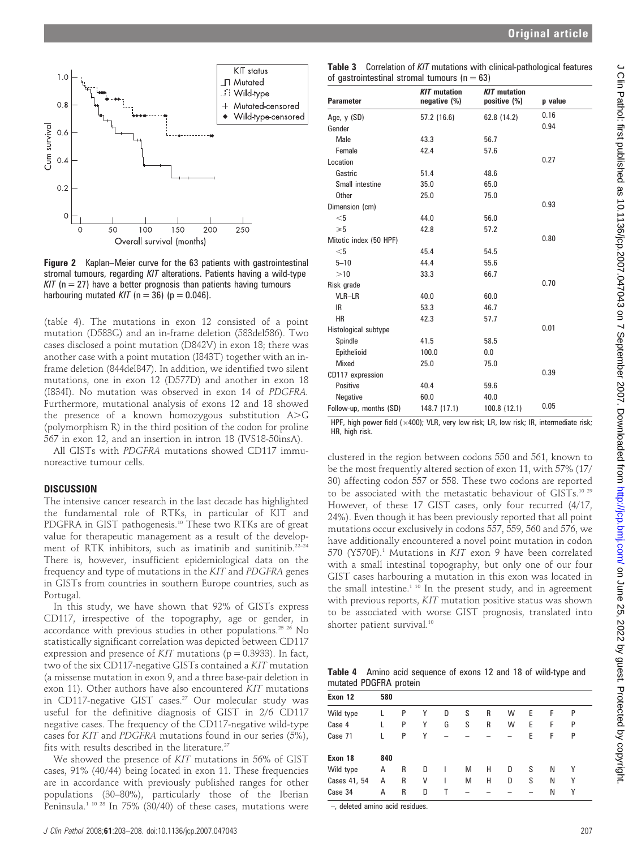

**Figure 2** Kaplan–Meier curve for the 63 patients with gastrointestinal stromal tumours, regarding KIT alterations. Patients having a wild-type  $KIT$  (n = 27) have a better prognosis than patients having tumours harbouring mutated KIT ( $n = 36$ ) ( $p = 0.046$ ).

(table 4). The mutations in exon 12 consisted of a point mutation (D583G) and an in-frame deletion (583del586). Two cases disclosed a point mutation (D842V) in exon 18; there was another case with a point mutation (I843T) together with an inframe deletion (844del847). In addition, we identified two silent mutations, one in exon 12 (D577D) and another in exon 18 (I834I). No mutation was observed in exon 14 of PDGFRA. Furthermore, mutational analysis of exons 12 and 18 showed the presence of a known homozygous substitution  $A > G$ (polymorphism R) in the third position of the codon for proline 567 in exon 12, and an insertion in intron 18 (IVS18-50insA).

All GISTs with PDGFRA mutations showed CD117 immunoreactive tumour cells.

#### **DISCUSSION**

The intensive cancer research in the last decade has highlighted the fundamental role of RTKs, in particular of KIT and PDGFRA in GIST pathogenesis.<sup>10</sup> These two RTKs are of great value for therapeutic management as a result of the development of RTK inhibitors, such as imatinib and sunitinib.<sup>22-24</sup> There is, however, insufficient epidemiological data on the frequency and type of mutations in the KIT and PDGFRA genes in GISTs from countries in southern Europe countries, such as Portugal.

In this study, we have shown that 92% of GISTs express CD117, irrespective of the topography, age or gender, in accordance with previous studies in other populations.25 26 No statistically significant correlation was depicted between CD117 expression and presence of  $KIT$  mutations ( $p = 0.3933$ ). In fact, two of the six CD117-negative GISTs contained a KIT mutation (a missense mutation in exon 9, and a three base-pair deletion in exon 11). Other authors have also encountered KIT mutations in CD117-negative GIST cases.<sup>27</sup> Our molecular study was useful for the definitive diagnosis of GIST in 2/6 CD117 negative cases. The frequency of the CD117-negative wild-type cases for KIT and PDGFRA mutations found in our series (5%), fits with results described in the literature.<sup>27</sup>

We showed the presence of KIT mutations in 56% of GIST cases, 91% (40/44) being located in exon 11. These frequencies are in accordance with previously published ranges for other populations (30–80%), particularly those of the Iberian Peninsula.<sup>1 10 28</sup> In 75% (30/40) of these cases, mutations were

| <b>Table 3</b> Correlation of KIT mutations with clinical-pathological features |
|---------------------------------------------------------------------------------|
| of gastrointestinal stromal tumours ( $n = 63$ )                                |

| <b>Parameter</b>       | <b>KIT</b> mutation<br>negative (%) | <b>KIT</b> mutation<br>positive (%) | p value |
|------------------------|-------------------------------------|-------------------------------------|---------|
| Age, y (SD)            | 57.2 (16.6)                         | 62.8 (14.2)                         | 0.16    |
| Gender                 |                                     |                                     | 0.94    |
| Male                   | 43.3                                | 56.7                                |         |
| Female                 | 42.4                                | 57.6                                |         |
| Location               |                                     |                                     | 0.27    |
| Gastric                | 51.4                                | 48.6                                |         |
| Small intestine        | 35.0                                | 65.0                                |         |
| Other                  | 25.0                                | 75.0                                |         |
| Dimension (cm)         |                                     |                                     | 0.93    |
| $<$ 5                  | 44.0                                | 56.0                                |         |
| $\geqslant 5$          | 42.8                                | 57.2                                |         |
| Mitotic index (50 HPF) |                                     |                                     | 0.80    |
| $<$ 5                  | 45.4                                | 54.5                                |         |
| $5 - 10$               | 44.4                                | 55.6                                |         |
| >10                    | 33.3                                | 66.7                                |         |
| Risk grade             |                                     |                                     | 0.70    |
| VLR-LR                 | 40.0                                | 60.0                                |         |
| IR.                    | 53.3                                | 46.7                                |         |
| <b>HR</b>              | 42.3                                | 57.7                                |         |
| Histological subtype   |                                     |                                     | 0.01    |
| Spindle                | 41.5                                | 58.5                                |         |
| Epithelioid            | 100.0                               | 0.0                                 |         |
| Mixed                  | 25.0                                | 75.0                                |         |
| CD117 expression       |                                     |                                     | 0.39    |
| Positive               | 40.4                                | 59.6                                |         |
| Negative               | 60.0                                | 40.0                                |         |
| Follow-up, months (SD) | 148.7 (17.1)                        | 100.8 (12.1)                        | 0.05    |

HPF, high power field ( $\times$ 400); VLR, very low risk; LR, low risk; IR, intermediate risk; HR, high risk.

clustered in the region between codons 550 and 561, known to be the most frequently altered section of exon 11, with 57% (17/ 30) affecting codon 557 or 558. These two codons are reported to be associated with the metastatic behaviour of GISTs.<sup>10 29</sup> However, of these 17 GIST cases, only four recurred (4/17, 24%). Even though it has been previously reported that all point mutations occur exclusively in codons 557, 559, 560 and 576, we have additionally encountered a novel point mutation in codon 570 (Y570F).<sup>1</sup> Mutations in KIT exon 9 have been correlated with a small intestinal topography, but only one of our four GIST cases harbouring a mutation in this exon was located in the small intestine.<sup>1 10</sup> In the present study, and in agreement with previous reports, KIT mutation positive status was shown to be associated with worse GIST prognosis, translated into shorter patient survival.<sup>10</sup>

|                        |  | Table 4 Amino acid sequence of exons 12 and 18 of wild-type and |  |  |  |  |
|------------------------|--|-----------------------------------------------------------------|--|--|--|--|
| mutated PDGFRA protein |  |                                                                 |  |  |  |  |

| Exon 12      | 580 |   |   |   |   |   |   |   |   |   |  |
|--------------|-----|---|---|---|---|---|---|---|---|---|--|
| Wild type    |     | P | Υ | D | S | R | W | Е | F | P |  |
| Case 4       |     | P | Υ | G | S | R | W | Е | F | P |  |
| Case 71      |     | P | Υ |   |   |   |   | E | F | P |  |
| Exon 18      | 840 |   |   |   |   |   |   |   |   |   |  |
| Wild type    | А   | R | D | ı | M | Н | D | S | N | Υ |  |
| Cases 41, 54 | А   | R | ٧ | ı | M | Н | D | S | N | Υ |  |
| Case 34      | Α   | R | D | L |   |   |   |   | Ν | Υ |  |

–, deleted amino acid residues.